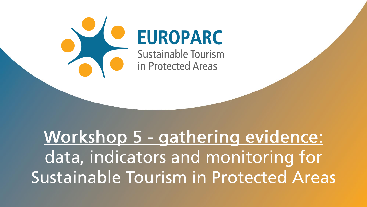

## Workshop 5 - gathering evidence: data, indicators and monitoring for Sustainable Tourism in Protected Areas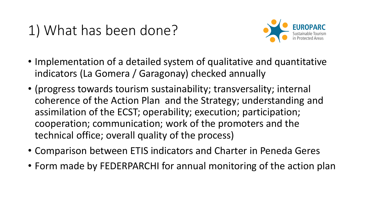## 1) What has been done?



- Implementation of a detailed system of qualitative and quantitative indicators (La Gomera / Garagonay) checked annually
- (progress towards tourism sustainability; transversality; internal coherence of the Action Plan and the Strategy; understanding and assimilation of the ECST; operability; execution; participation; cooperation; communication; work of the promoters and the technical office; overall quality of the process)
- Comparison between ETIS indicators and Charter in Peneda Geres
- Form made by FEDERPARCHI for annual monitoring of the action plan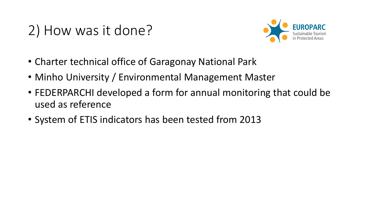## 2) How was it done?



- Charter technical office of Garagonay National Park
- Minho University / Environmental Management Master
- FEDERPARCHI developed a form for annual monitoring that could be used as reference
- System of ETIS indicators has been tested from 2013